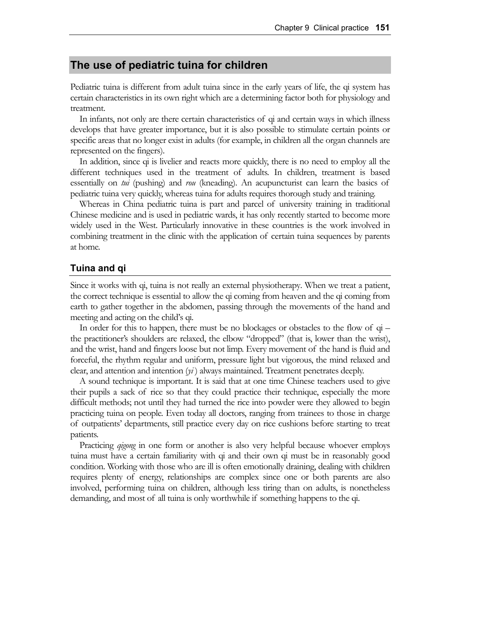## **The use of pediatric tuina for children**

Pediatric tuina is different from adult tuina since in the early years of life, the qi system has certain characteristics in its own right which are a determining factor both for physiology and treatment.

In infants, not only are there certain characteristics of qi and certain ways in which illness develops that have greater importance, but it is also possible to stimulate certain points or specific areas that no longer exist in adults (for example, in children all the organ channels are represented on the fingers).

In addition, since qi is livelier and reacts more quickly, there is no need to employ all the different techniques used in the treatment of adults. In children, treatment is based essentially on *tui* (pushing) and *rou* (kneading). An acupuncturist can learn the basics of pediatric tuina very quickly, whereas tuina for adults requires thorough study and training.

Whereas in China pediatric tuina is part and parcel of university training in traditional Chinese medicine and is used in pediatric wards, it has only recently started to become more widely used in the West. Particularly innovative in these countries is the work involved in combining treatment in the clinic with the application of certain tuina sequences by parents at home.

## **Tuina and qi**

Since it works with qi, tuina is not really an external physiotherapy. When we treat a patient, the correct technique is essential to allow the qi coming from heaven and the qi coming from earth to gather together in the abdomen, passing through the movements of the hand and meeting and acting on the child's qi.

In order for this to happen, there must be no blockages or obstacles to the flow of qi – the practitioner's shoulders are relaxed, the elbow "dropped" (that is, lower than the wrist), and the wrist, hand and fingers loose but not limp. Every movement of the hand is fluid and forceful, the rhythm regular and uniform, pressure light but vigorous, the mind relaxed and clear, and attention and intention (*yi* ) always maintained. Treatment penetrates deeply.

A sound technique is important. It is said that at one time Chinese teachers used to give their pupils a sack of rice so that they could practice their technique, especially the more difficult methods; not until they had turned the rice into powder were they allowed to begin practicing tuina on people. Even today all doctors, ranging from trainees to those in charge of outpatients' departments, still practice every day on rice cushions before starting to treat patients.

Practicing *qigong* in one form or another is also very helpful because whoever employs tuina must have a certain familiarity with qi and their own qi must be in reasonably good condition. Working with those who are ill is often emotionally draining, dealing with children requires plenty of energy, relationships are complex since one or both parents are also involved, performing tuina on children, although less tiring than on adults, is nonetheless demanding, and most of all tuina is only worthwhile if something happens to the qi.